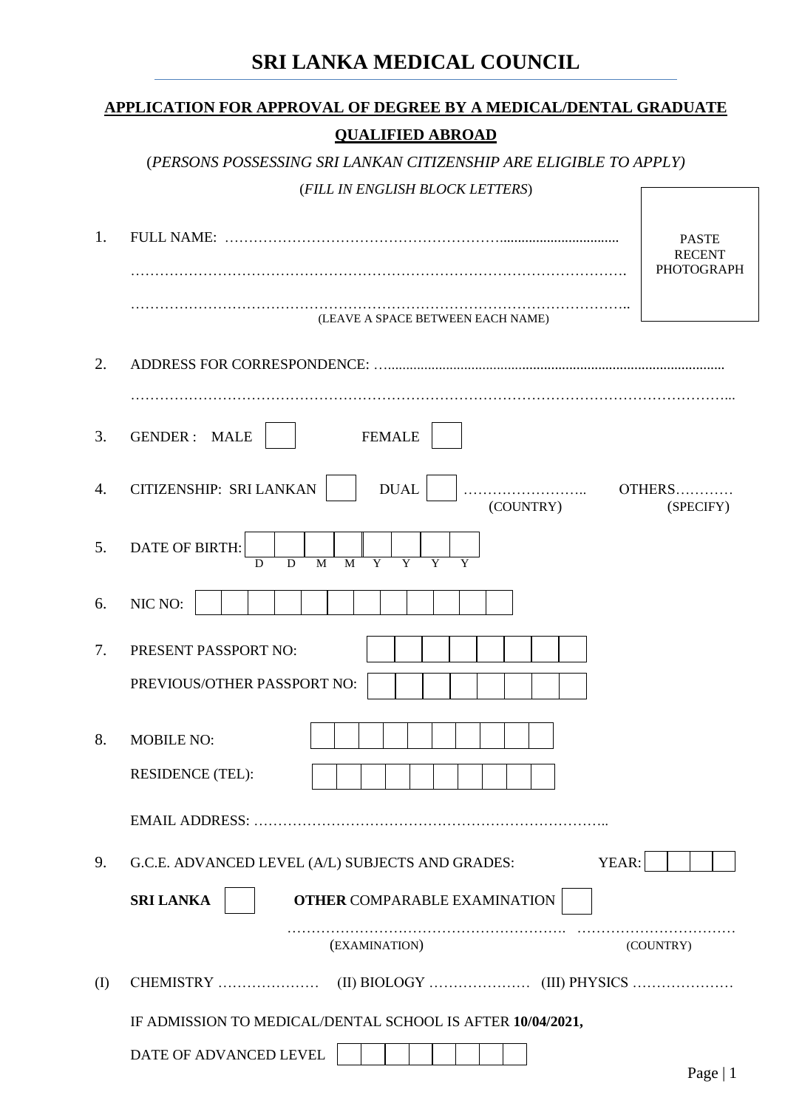# **SRI LANKA MEDICAL COUNCIL**

|     | <b>QUALIFIED ABROAD</b>                                                                                                |                               |
|-----|------------------------------------------------------------------------------------------------------------------------|-------------------------------|
|     | (PERSONS POSSESSING SRI LANKAN CITIZENSHIP ARE ELIGIBLE TO APPLY)                                                      |                               |
|     | (FILL IN ENGLISH BLOCK LETTERS)                                                                                        |                               |
| 1.  |                                                                                                                        | <b>PASTE</b><br><b>RECENT</b> |
|     |                                                                                                                        | <b>PHOTOGRAPH</b>             |
|     | (LEAVE A SPACE BETWEEN EACH NAME)                                                                                      |                               |
| 2.  |                                                                                                                        |                               |
| 3.  | <b>FEMALE</b><br><b>GENDER: MALE</b>                                                                                   |                               |
| 4.  | CITIZENSHIP: SRI LANKAN<br><b>DUAL</b><br>(COUNTRY)                                                                    | OTHERS<br>(SPECIFY)           |
| 5.  | DATE OF BIRTH:<br>$\overline{M}$<br>$\overline{Y}$<br>$\overline{Y}$<br>$\overline{\mathsf{D}}$<br>$\overline{M}$<br>D |                               |
| 6.  | NIC NO:                                                                                                                |                               |
| 7.  | PRESENT PASSPORT NO:                                                                                                   |                               |
|     | PREVIOUS/OTHER PASSPORT NO:                                                                                            |                               |
| 8.  | <b>MOBILE NO:</b>                                                                                                      |                               |
|     | <b>RESIDENCE (TEL):</b>                                                                                                |                               |
|     |                                                                                                                        |                               |
| 9.  | YEAR:<br>G.C.E. ADVANCED LEVEL (A/L) SUBJECTS AND GRADES:                                                              |                               |
|     | <b>SRI LANKA</b><br><b>OTHER COMPARABLE EXAMINATION</b>                                                                |                               |
|     | (EXAMINATION)                                                                                                          | (COUNTRY)                     |
| (I) | CHEMISTRY                                                                                                              |                               |
|     | IF ADMISSION TO MEDICAL/DENTAL SCHOOL IS AFTER 10/04/2021,                                                             |                               |
|     | DATE OF ADVANCED LEVEL                                                                                                 | Page $ 1$                     |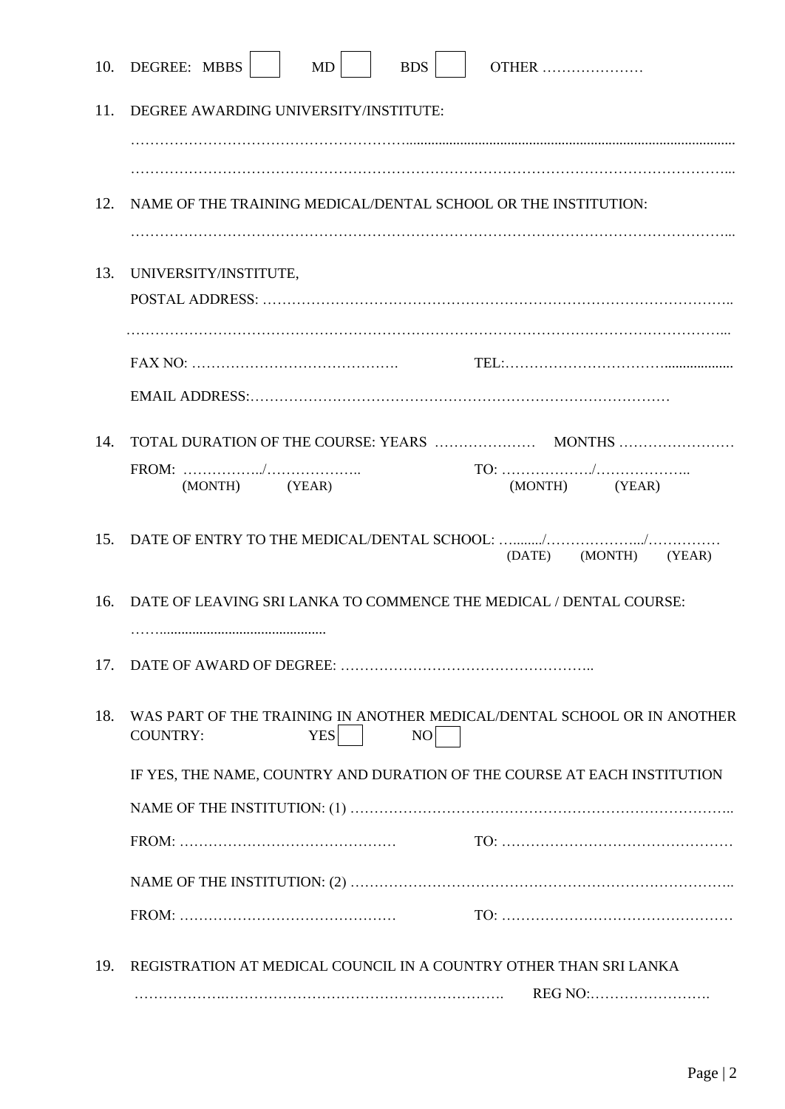| 10.                                                                      | DEGREE: MBBS<br>MD<br><b>BDS</b><br><b>OTHER</b>                                                               |  |  |  |  |
|--------------------------------------------------------------------------|----------------------------------------------------------------------------------------------------------------|--|--|--|--|
| 11.                                                                      | DEGREE AWARDING UNIVERSITY/INSTITUTE:                                                                          |  |  |  |  |
|                                                                          |                                                                                                                |  |  |  |  |
|                                                                          |                                                                                                                |  |  |  |  |
| 12.                                                                      | NAME OF THE TRAINING MEDICAL/DENTAL SCHOOL OR THE INSTITUTION:                                                 |  |  |  |  |
| 13.                                                                      | UNIVERSITY/INSTITUTE,                                                                                          |  |  |  |  |
|                                                                          |                                                                                                                |  |  |  |  |
|                                                                          |                                                                                                                |  |  |  |  |
|                                                                          | $FAX NO: \ldots \ldots \ldots \ldots \ldots \ldots \ldots \ldots \ldots \ldots \ldots \ldots$                  |  |  |  |  |
|                                                                          |                                                                                                                |  |  |  |  |
| 14.                                                                      |                                                                                                                |  |  |  |  |
|                                                                          | (MONTH) (YEAR)<br>(MONTH) (YEAR)                                                                               |  |  |  |  |
| 15.                                                                      | (DATE) (MONTH)<br>(YEAR)                                                                                       |  |  |  |  |
| 16.                                                                      | DATE OF LEAVING SRI LANKA TO COMMENCE THE MEDICAL / DENTAL COURSE:                                             |  |  |  |  |
| 17.                                                                      |                                                                                                                |  |  |  |  |
| 18.                                                                      | WAS PART OF THE TRAINING IN ANOTHER MEDICAL/DENTAL SCHOOL OR IN ANOTHER<br><b>YES</b><br>NO<br><b>COUNTRY:</b> |  |  |  |  |
| IF YES, THE NAME, COUNTRY AND DURATION OF THE COURSE AT EACH INSTITUTION |                                                                                                                |  |  |  |  |
|                                                                          |                                                                                                                |  |  |  |  |
|                                                                          |                                                                                                                |  |  |  |  |
|                                                                          |                                                                                                                |  |  |  |  |
|                                                                          |                                                                                                                |  |  |  |  |
| 19.                                                                      | REGISTRATION AT MEDICAL COUNCIL IN A COUNTRY OTHER THAN SRI LANKA                                              |  |  |  |  |
|                                                                          | REG NO:                                                                                                        |  |  |  |  |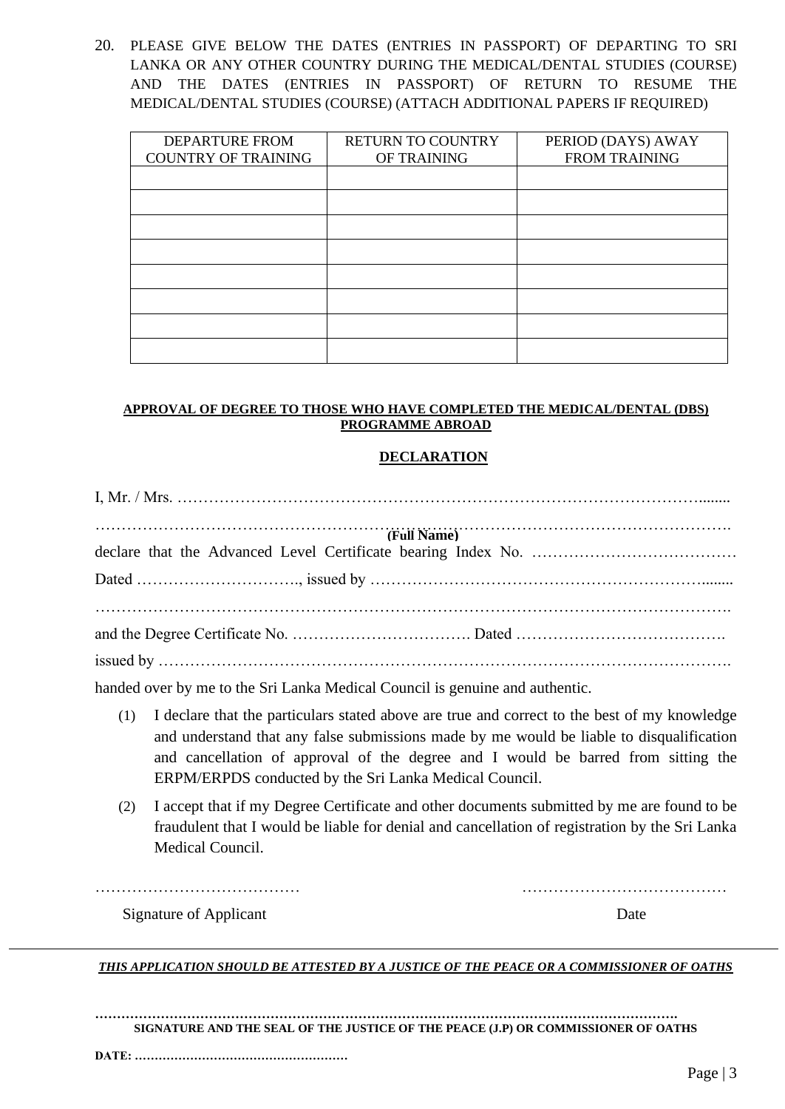20. PLEASE GIVE BELOW THE DATES (ENTRIES IN PASSPORT) OF DEPARTING TO SRI LANKA OR ANY OTHER COUNTRY DURING THE MEDICAL/DENTAL STUDIES (COURSE) AND THE DATES (ENTRIES IN PASSPORT) OF RETURN TO RESUME THE MEDICAL/DENTAL STUDIES (COURSE) (ATTACH ADDITIONAL PAPERS IF REQUIRED)

| <b>RETURN TO COUNTRY</b> | PERIOD (DAYS) AWAY   |
|--------------------------|----------------------|
| OF TRAINING              | <b>FROM TRAINING</b> |
|                          |                      |
|                          |                      |
|                          |                      |
|                          |                      |
|                          |                      |
|                          |                      |
|                          |                      |
|                          |                      |
|                          |                      |
|                          |                      |
|                          |                      |
|                          |                      |
|                          |                      |

#### **APPROVAL OF DEGREE TO THOSE WHO HAVE COMPLETED THE MEDICAL/DENTAL (DBS) PROGRAMME ABROAD**

#### **DECLARATION**

| $T_{\text{full Nomo}}$<br>(Full Name) |  |  |  |  |
|---------------------------------------|--|--|--|--|
|                                       |  |  |  |  |
|                                       |  |  |  |  |
|                                       |  |  |  |  |
|                                       |  |  |  |  |

handed over by me to the Sri Lanka Medical Council is genuine and authentic.

- (1) I declare that the particulars stated above are true and correct to the best of my knowledge and understand that any false submissions made by me would be liable to disqualification and cancellation of approval of the degree and I would be barred from sitting the ERPM/ERPDS conducted by the Sri Lanka Medical Council.
- (2) I accept that if my Degree Certificate and other documents submitted by me are found to be fraudulent that I would be liable for denial and cancellation of registration by the Sri Lanka Medical Council.

………………………………… …………………………………

Signature of Applicant Date

*THIS APPLICATION SHOULD BE ATTESTED BY A JUSTICE OF THE PEACE OR A COMMISSIONER OF OATHS*

**……………………………………………………………………………………………………………………. SIGNATURE AND THE SEAL OF THE JUSTICE OF THE PEACE (J.P) OR COMMISSIONER OF OATHS**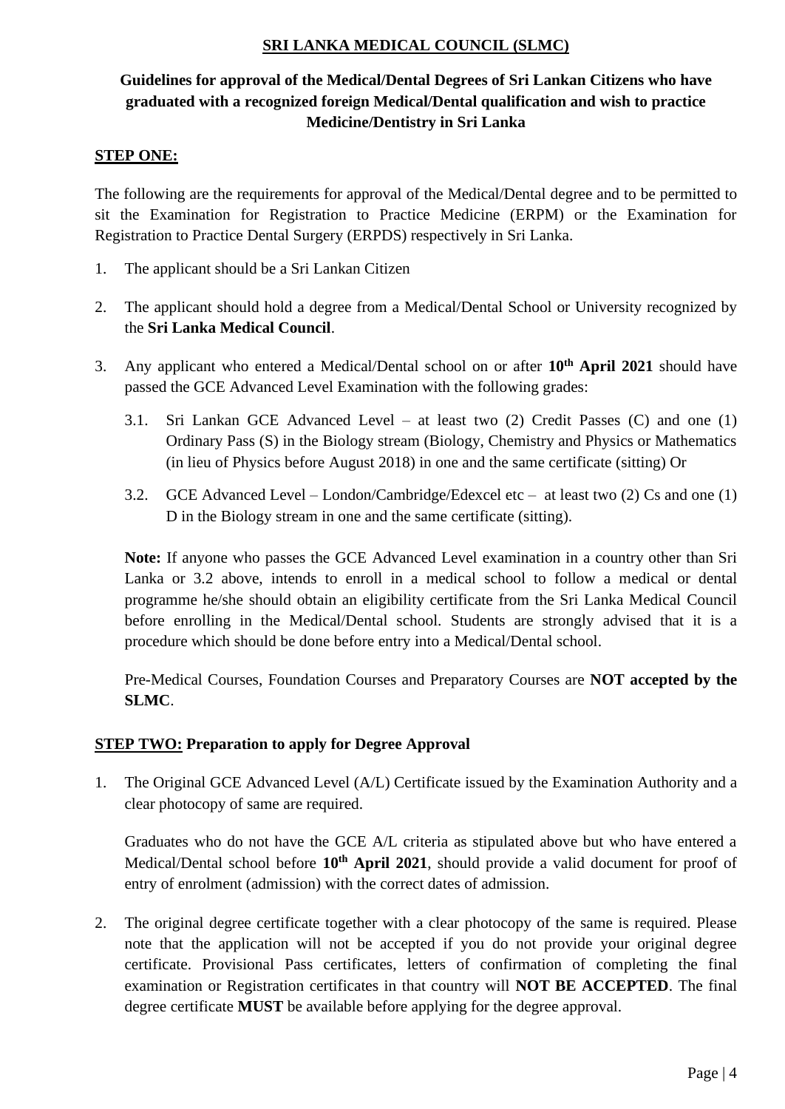# **SRI LANKA MEDICAL COUNCIL (SLMC)**

# **Guidelines for approval of the Medical/Dental Degrees of Sri Lankan Citizens who have graduated with a recognized foreign Medical/Dental qualification and wish to practice Medicine/Dentistry in Sri Lanka**

### **STEP ONE:**

The following are the requirements for approval of the Medical/Dental degree and to be permitted to sit the Examination for Registration to Practice Medicine (ERPM) or the Examination for Registration to Practice Dental Surgery (ERPDS) respectively in Sri Lanka.

- 1. The applicant should be a Sri Lankan Citizen
- 2. The applicant should hold a degree from a Medical/Dental School or University recognized by the **Sri Lanka Medical Council**.
- 3. Any applicant who entered a Medical/Dental school on or after **10th April 2021** should have passed the GCE Advanced Level Examination with the following grades:
	- 3.1. Sri Lankan GCE Advanced Level at least two (2) Credit Passes (C) and one (1) Ordinary Pass (S) in the Biology stream (Biology, Chemistry and Physics or Mathematics (in lieu of Physics before August 2018) in one and the same certificate (sitting) Or
	- 3.2. GCE Advanced Level London/Cambridge/Edexcel etc at least two (2) Cs and one (1) D in the Biology stream in one and the same certificate (sitting).

**Note:** If anyone who passes the GCE Advanced Level examination in a country other than Sri Lanka or 3.2 above, intends to enroll in a medical school to follow a medical or dental programme he/she should obtain an eligibility certificate from the Sri Lanka Medical Council before enrolling in the Medical/Dental school. Students are strongly advised that it is a procedure which should be done before entry into a Medical/Dental school.

Pre-Medical Courses, Foundation Courses and Preparatory Courses are **NOT accepted by the SLMC**.

## **STEP TWO: Preparation to apply for Degree Approval**

1. The Original GCE Advanced Level (A/L) Certificate issued by the Examination Authority and a clear photocopy of same are required.

Graduates who do not have the GCE A/L criteria as stipulated above but who have entered a Medical/Dental school before **10th April 2021**, should provide a valid document for proof of entry of enrolment (admission) with the correct dates of admission.

2. The original degree certificate together with a clear photocopy of the same is required. Please note that the application will not be accepted if you do not provide your original degree certificate. Provisional Pass certificates, letters of confirmation of completing the final examination or Registration certificates in that country will **NOT BE ACCEPTED**. The final degree certificate **MUST** be available before applying for the degree approval.